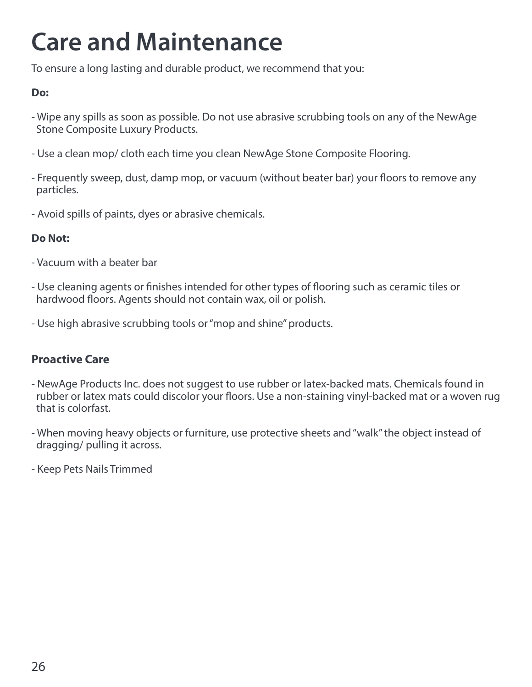### **Care and Maintenance**

To ensure a long lasting and durable product, we recommend that you:

#### **Do:**

- Wipe any spills as soon as possible. Do not use abrasive scrubbing tools on any of the NewAge Stone Composite Luxury Products.
- Use a clean mop/ cloth each time you clean NewAge Stone Composite Flooring.
- Frequently sweep, dust, damp mop, or vacuum (without beater bar) your floors to remove any particles.
- Avoid spills of paints, dyes or abrasive chemicals.

#### **Do Not:**

- Vacuum with a beater bar
- Use cleaning agents or finishes intended for other types of flooring such as ceramic tiles or hardwood floors. Agents should not contain wax, oil or polish.
- Use high abrasive scrubbing tools or "mop and shine" products.

### **Proactive Care**

- NewAge Products Inc. does not suggest to use rubber or latex-backed mats. Chemicals found in rubber or latex mats could discolor your floors. Use a non-staining vinyl-backed mat or a woven rug that is colorfast.
- When moving heavy objects or furniture, use protective sheets and "walk" the object instead of dragging/ pulling it across.
- Keep Pets Nails Trimmed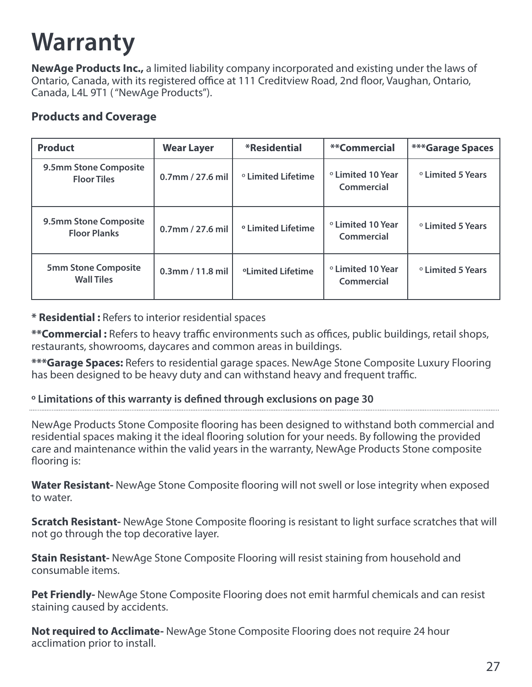### **Warranty**

**NewAge Products Inc.,** a limited liability company incorporated and existing under the laws of Ontario, Canada, with its registered office at 111 Creditview Road, 2nd floor, Vaughan, Ontario, Canada, L4L 9T1 ( "NewAge Products").

### **Products and Coverage**

| <b>Product</b>                                  | <b>Wear Layer</b>   | *Residential                    | **Commercial                               | <b>***Garage Spaces</b>      |
|-------------------------------------------------|---------------------|---------------------------------|--------------------------------------------|------------------------------|
| 9.5mm Stone Composite<br><b>Floor Tiles</b>     | $0.7$ mm / 27.6 mil | ° Limited Lifetime              | ° Limited 10 Year<br>Commercial            | <sup>o</sup> Limited 5 Years |
| 9.5mm Stone Composite<br><b>Floor Planks</b>    | $0.7$ mm / 27.6 mil | <sup>o</sup> Limited Lifetime   | <sup>o</sup> Limited 10 Year<br>Commercial | <sup>o</sup> Limited 5 Years |
| <b>5mm Stone Composite</b><br><b>Wall Tiles</b> | $0.3$ mm / 11.8 mil | <b><i>oLimited Lifetime</i></b> | <sup>o</sup> Limited 10 Year<br>Commercial | <sup>o</sup> Limited 5 Years |

#### **\* Residential :** Refers to interior residential spaces

**\*\*Commercial :** Refers to heavy traffic environments such as offices, public buildings, retail shops, restaurants, showrooms, daycares and common areas in buildings.

**\*\*\*Garage Spaces:** Refers to residential garage spaces. NewAge Stone Composite Luxury Flooring has been designed to be heavy duty and can withstand heavy and frequent traffic.

#### **º Limitations of this warranty is defined through exclusions on page 30**

NewAge Products Stone Composite flooring has been designed to withstand both commercial and residential spaces making it the ideal flooring solution for your needs. By following the provided care and maintenance within the valid years in the warranty, NewAge Products Stone composite flooring is:

**Water Resistant-** NewAge Stone Composite flooring will not swell or lose integrity when exposed to water.

**Scratch Resistant-** NewAge Stone Composite flooring is resistant to light surface scratches that will not go through the top decorative layer.

**Stain Resistant-** NewAge Stone Composite Flooring will resist staining from household and consumable items.

**Pet Friendly-** NewAge Stone Composite Flooring does not emit harmful chemicals and can resist staining caused by accidents.

**Not required to Acclimate-** NewAge Stone Composite Flooring does not require 24 hour acclimation prior to install.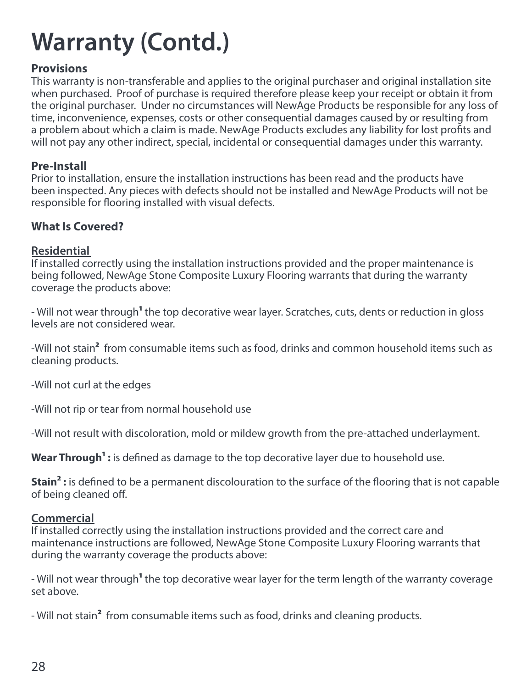#### **Provisions**

This warranty is non-transferable and applies to the original purchaser and original installation site when purchased. Proof of purchase is required therefore please keep your receipt or obtain it from the original purchaser. Under no circumstances will NewAge Products be responsible for any loss of time, inconvenience, expenses, costs or other consequential damages caused by or resulting from a problem about which a claim is made. NewAge Products excludes any liability for lost profits and will not pay any other indirect, special, incidental or consequential damages under this warranty.

#### **Pre-Install**

Prior to installation, ensure the installation instructions has been read and the products have been inspected. Any pieces with defects should not be installed and NewAge Products will not be responsible for flooring installed with visual defects.

#### **What Is Covered?**

#### **Residential**

If installed correctly using the installation instructions provided and the proper maintenance is being followed, NewAge Stone Composite Luxury Flooring warrants that during the warranty coverage the products above:

- Will not wear through**1** the top decorative wear layer. Scratches, cuts, dents or reduction in gloss levels are not considered wear.

-Will not stain**2** from consumable items such as food, drinks and common household items such as cleaning products.

-Will not curl at the edges

-Will not rip or tear from normal household use

-Will not result with discoloration, mold or mildew growth from the pre-attached underlayment.

Wear Through<sup>1</sup>: is defined as damage to the top decorative layer due to household use.

**Stain<sup>2</sup>:** is defined to be a permanent discolouration to the surface of the flooring that is not capable of being cleaned off.

#### **Commercial**

If installed correctly using the installation instructions provided and the correct care and maintenance instructions are followed, NewAge Stone Composite Luxury Flooring warrants that during the warranty coverage the products above:

- Will not wear through**1** the top decorative wear layer for the term length of the warranty coverage set above.

- Will not stain**2** from consumable items such as food, drinks and cleaning products.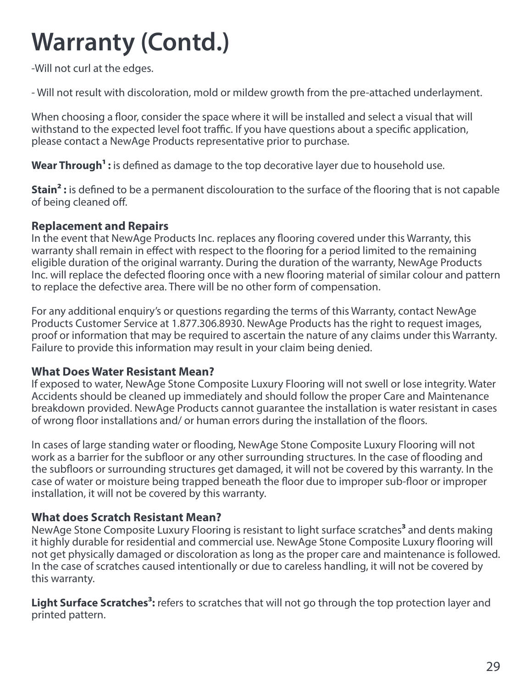-Will not curl at the edges.

- Will not result with discoloration, mold or mildew growth from the pre-attached underlayment.

When choosing a floor, consider the space where it will be installed and select a visual that will withstand to the expected level foot traffic. If you have questions about a specific application, please contact a NewAge Products representative prior to purchase.

Wear Through<sup>1</sup>: is defined as damage to the top decorative layer due to household use.

**Stain<sup>2</sup>:** is defined to be a permanent discolouration to the surface of the flooring that is not capable of being cleaned off.

#### **Replacement and Repairs**

In the event that NewAge Products Inc. replaces any flooring covered under this Warranty, this warranty shall remain in effect with respect to the flooring for a period limited to the remaining eligible duration of the original warranty. During the duration of the warranty, NewAge Products Inc. will replace the defected flooring once with a new flooring material of similar colour and pattern to replace the defective area. There will be no other form of compensation.

For any additional enquiry's or questions regarding the terms of this Warranty, contact NewAge Products Customer Service at 1.877.306.8930. NewAge Products has the right to request images, proof or information that may be required to ascertain the nature of any claims under this Warranty. Failure to provide this information may result in your claim being denied.

#### **What Does Water Resistant Mean?**

If exposed to water, NewAge Stone Composite Luxury Flooring will not swell or lose integrity. Water Accidents should be cleaned up immediately and should follow the proper Care and Maintenance breakdown provided. NewAge Products cannot guarantee the installation is water resistant in cases of wrong floor installations and/ or human errors during the installation of the floors.

In cases of large standing water or flooding, NewAge Stone Composite Luxury Flooring will not work as a barrier for the subfloor or any other surrounding structures. In the case of flooding and the subfloors or surrounding structures get damaged, it will not be covered by this warranty. In the case of water or moisture being trapped beneath the floor due to improper sub-floor or improper installation, it will not be covered by this warranty.

#### **What does Scratch Resistant Mean?**

NewAge Stone Composite Luxury Flooring is resistant to light surface scratches**3** and dents making it highly durable for residential and commercial use. NewAge Stone Composite Luxury flooring will not get physically damaged or discoloration as long as the proper care and maintenance is followed. In the case of scratches caused intentionally or due to careless handling, it will not be covered by this warranty.

**Light Surface Scratches<sup>3</sup>:** refers to scratches that will not go through the top protection layer and printed pattern.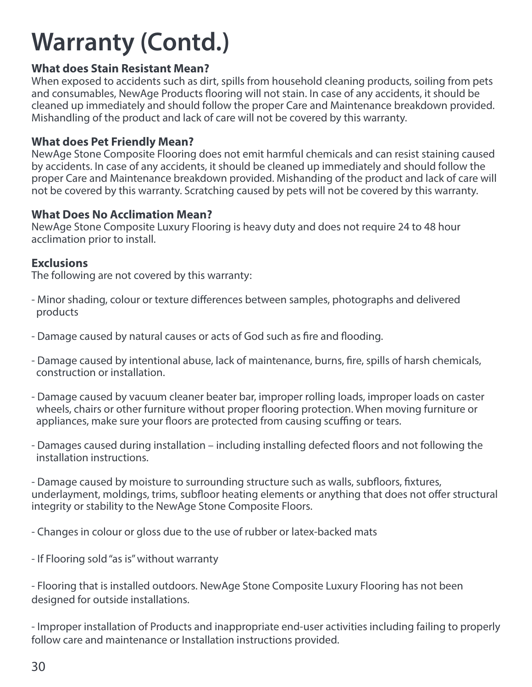#### **What does Stain Resistant Mean?**

When exposed to accidents such as dirt, spills from household cleaning products, soiling from pets and consumables, NewAge Products flooring will not stain. In case of any accidents, it should be cleaned up immediately and should follow the proper Care and Maintenance breakdown provided. Mishandling of the product and lack of care will not be covered by this warranty.

#### **What does Pet Friendly Mean?**

NewAge Stone Composite Flooring does not emit harmful chemicals and can resist staining caused by accidents. In case of any accidents, it should be cleaned up immediately and should follow the proper Care and Maintenance breakdown provided. Mishanding of the product and lack of care will not be covered by this warranty. Scratching caused by pets will not be covered by this warranty.

#### **What Does No Acclimation Mean?**

NewAge Stone Composite Luxury Flooring is heavy duty and does not require 24 to 48 hour acclimation prior to install.

#### **Exclusions**

The following are not covered by this warranty:

- Minor shading, colour or texture differences between samples, photographs and delivered products
- Damage caused by natural causes or acts of God such as fire and flooding.
- Damage caused by intentional abuse, lack of maintenance, burns, fire, spills of harsh chemicals, construction or installation.
- Damage caused by vacuum cleaner beater bar, improper rolling loads, improper loads on caster wheels, chairs or other furniture without proper flooring protection. When moving furniture or appliances, make sure your floors are protected from causing scuffing or tears.
- Damages caused during installation including installing defected floors and not following the installation instructions.

- Damage caused by moisture to surrounding structure such as walls, subfloors, fixtures, underlayment, moldings, trims, subfloor heating elements or anything that does not offer structural integrity or stability to the NewAge Stone Composite Floors.

- Changes in colour or gloss due to the use of rubber or latex-backed mats

- If Flooring sold "as is" without warranty

- Flooring that is installed outdoors. NewAge Stone Composite Luxury Flooring has not been designed for outside installations.

- Improper installation of Products and inappropriate end-user activities including failing to properly follow care and maintenance or Installation instructions provided.